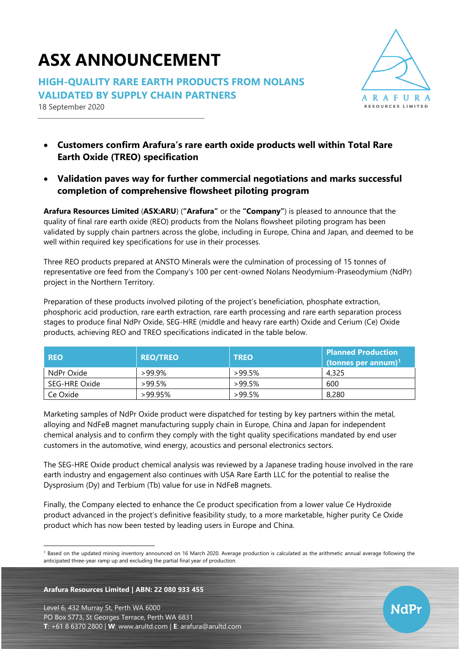# **ASX ANNOUNCEMENT**

**HIGH-QUALITY RARE EARTH PRODUCTS FROM NOLANS VALIDATED BY SUPPLY CHAIN PARTNERS**

18 September 2020



- **Customers confirm Arafura's rare earth oxide products well within Total Rare Earth Oxide (TREO) specification**
- **Validation paves way for further commercial negotiations and marks successful completion of comprehensive flowsheet piloting program**

**Arafura Resources Limited** (**ASX:ARU**) (**"Arafura"** or the **"Company"**) is pleased to announce that the quality of final rare earth oxide (REO) products from the Nolans flowsheet piloting program has been validated by supply chain partners across the globe, including in Europe, China and Japan, and deemed to be well within required key specifications for use in their processes.

Three REO products prepared at ANSTO Minerals were the culmination of processing of 15 tonnes of representative ore feed from the Company's 100 per cent-owned Nolans Neodymium-Praseodymium (NdPr) project in the Northern Territory.

Preparation of these products involved piloting of the project's beneficiation, phosphate extraction, phosphoric acid production, rare earth extraction, rare earth processing and rare earth separation process stages to produce final NdPr Oxide, SEG-HRE (middle and heavy rare earth) Oxide and Cerium (Ce) Oxide products, achieving REO and TREO specifications indicated in the table below.

| <b>REO</b>    | <b>REO/TREO</b> | <b>TREO</b> | <b>Planned Production</b><br>(tonnes per annum) $1$ |
|---------------|-----------------|-------------|-----------------------------------------------------|
| NdPr Oxide    | >99.9%          | $>99.5\%$   | 4,325                                               |
| SEG-HRE Oxide | $>99.5\%$       | $>99.5\%$   | 600                                                 |
| Ce Oxide      | $>99.95\%$      | $>99.5\%$   | 8,280                                               |

Marketing samples of NdPr Oxide product were dispatched for testing by key partners within the metal, alloying and NdFeB magnet manufacturing supply chain in Europe, China and Japan for independent chemical analysis and to confirm they comply with the tight quality specifications mandated by end user customers in the automotive, wind energy, acoustics and personal electronics sectors.

The SEG-HRE Oxide product chemical analysis was reviewed by a Japanese trading house involved in the rare earth industry and engagement also continues with USA Rare Earth LLC for the potential to realise the Dysprosium (Dy) and Terbium (Tb) value for use in NdFeB magnets.

Finally, the Company elected to enhance the Ce product specification from a lower value Ce Hydroxide product advanced in the project's definitive feasibility study, to a more marketable, higher purity Ce Oxide product which has now been tested by leading users in Europe and China.

## **Arafura Resources Limited | ABN: 22 080 933 455**

Level 6, 432 Murray St, Perth WA 6000 PO Box 5773, St Georges Terrace, Perth WA 6831 **T**: +61 8 6370 2800 | **W**: [www.arultd.com](http://www.arultd.com/) | **E**: [arafura@arultd.com](mailto:arafura@arultd.com)



<sup>&</sup>lt;sup>1</sup> Based on the updated mining inventory announced on 16 March 2020. Average production is calculated as the arithmetic annual average following the anticipated three-year ramp up and excluding the partial final year of production.